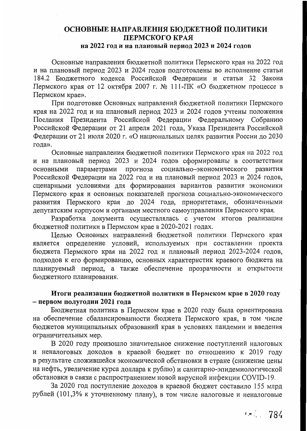# ОСНОВНЫЕ НАПРАВЛЕНИЯ БЮДЖЕТНОЙ ПОЛИТИКИ ПЕРМСКОГО КРАЯ на 2022 год и на плановый период 2023 и 2024 годов

Основные направления бюджетной политики Пермского края на 2022 год и на плановый период 2023 и 2024 годов подготовлены во исполнение статьи 184.2 Бюджетного кодекса Российской Федерации и статьи 32 Закона Пермского края от 12 октября 2007 г. № 111-ПК «О бюджетном процессе в Пермском крае».

При подготовке Основных направлений бюджетной политики Пермского края на 2022 год и на плановый период 2023 и 2024 годов учтены положения Послания Президента Российской Федерации Федеральному Собранию Российской Федерации от 21 апреля 2021 года, Указа Президента Российской Федерации от 21 июля 2020 г. «О национальных целях развития России до 2030 года».

Основные направления бюджетной политики Пермского края на 2022 год и на плановый период 2023 и 2024 годов сформированы в соответствии параметрами прогноза социально-экономического развития основными Российской Федерации на 2022 год и на плановый период 2023 и 2024 годов, сценарными условиями для формирования вариантов развития экономики Пермского края и основных показателей прогноза социально-экономического развития Пермского края до 2024 года, приоритетами, обозначенными депутатским корпусом и органами местного самоуправления Пермского края.

Разработка документа осуществлялась с учетом итогов реализации бюджетной политики в Пермском крае в 2020-2021 годах.

Целью Основных направлений бюджетной политики Пермского края является определение условий, используемых при составлении проекта бюджета Пермского края на 2022 год и плановый период 2023-2024 годов, подходов к его формированию, основных характеристик краевого бюджета на планируемый период, а также обеспечение прозрачности и открытости бюджетного планирования.

## Итоги реализации бюджетной политики в Пермском крае в 2020 году - первом полугодии 2021 года

Бюджетная политика в Пермском крае в 2020 году была ориентирована на обеспечение сбалансированности бюджета Пермского края, в том числе бюджетов муниципальных образований края в условиях пандемии и введения ограничительных мер.

В 2020 году произошло значительное снижение поступлений налоговых и неналоговых доходов в краевой бюджет по отношению к 2019 году в результате сложившейся экономической обстановки в стране (снижение цены на нефть, увеличение курса доллара к рублю) и санитарно-эпидемиологической обстановки в связи с распространением новой вирусной инфекции COVID-19.

За 2020 год поступление доходов в краевой бюджет составило 155 млрд рублей (101,3% к уточненному плану), в том числе налоговые и неналоговые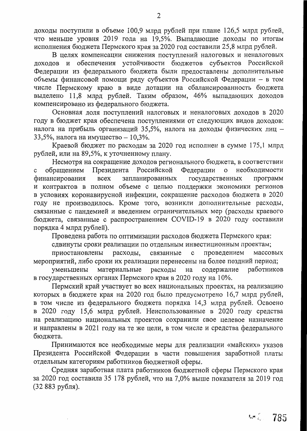доходы поступили в объеме 100,9 млрд рублей при плане 126,5 млрд рублей, что меньше уровня 2019 года на 19,5%. Выпадающие доходы по итогам исполнения бюджета Пермского края за 2020 год составили 25,8 млрд рублей.

В целях компенсации снижения поступлений налоговых и неналоговых доходов и обеспечения устойчивости бюджетов субъектов Российской Федерации из федерального бюджета были предоставлены дополнительные объемы финансовой помощи ряду субъектов Российской Федерации - в том числе Пермскому краю в виде дотации на сбалансированность бюджета выделено 11,8 млрд рублей. Таким образом, 46% выпадающих доходов компенсировано из федерального бюджета.

Основная доля поступлений налоговых и неналоговых доходов в 2020 году в бюджет края обеспечена поступлениями от следующих видов доходов: налога на прибыль организаций 35,5%, налога на доходы физических лиц -33,5%, налога на имущество - 10,3%.

Краевой бюджет по расходам за 2020 год исполнен в сумме 175,1 млрд рублей, или на 89,5%, к уточненному плану.

Несмотря на сокращение доходов регионального бюджета, в соответствии обращением Президента Российской Федерации необходимости  $\mathbf{O}$ финансирования запланированных государственных программ **BCCX** и контрактов в полном объеме с целью поддержки экономики регионов в условиях коронавирусной инфекции, сокращение расходов бюджета в 2020 году не производилось. Кроме того, возникли дополнительные расходы, связанные с пандемией и введением ограничительных мер (расходы краевого бюджета, связанные с распространением COVID-19 в 2020 году составили порядка 4 млрд рублей).

Проведена работа по оптимизации расходов бюджета Пермского края:

сдвинуты сроки реализации по отдельным инвестиционным проектам;

приостановлены расходы, связанные проведением массовых  $\mathbf c$ мероприятий, либо сроки их реализации перенесены на более поздний период;

уменьшены материальные расходы содержание работников на в государственных органах Пермского края в 2020 году на 10%.

Пермский край участвует во всех национальных проектах, на реализацию которых в бюджете края на 2020 год было предусмотрено 16,7 млрд рублей, в том числе из федерального бюджета порядка 14,3 млрд рублей. Освоено в 2020 году 15,6 млрд рублей. Неиспользованные в 2020 году средства на реализацию национальных проектов сохранили свое целевое назначение и направлены в 2021 году на те же цели, в том числе и средства федерального бюджета.

Принимаются все необходимые меры для реализации «майских» указов Президента Российской Федерации в части повышения заработной платы отдельным категориям работников бюджетной сферы.

Средняя заработная плата работников бюджетной сферы Пермского края за 2020 год составила 35 178 рублей, что на 7,0% выше показателя за 2019 год (32 883 рубля).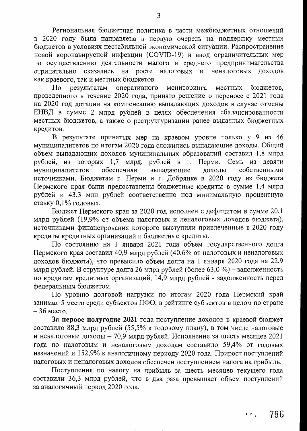Региональная бюджетная политика в части межбюджетных отношений в 2020 году была направлена в первую очередь на поддержку местных бюджетов в условиях нестабильной экономической ситуации. Распространение новой коронавирусной инфекции (COVID-19) и ввод ограничительных мер по осуществлению деятельности малого и среднего предпринимательства отрицательно сказались на росте налоговых и неналоговых доходов как краевого, так и местных бюджетов.

местных бюджетов, результатам оперативного мониторинга По проведенного в течение 2020 года, принято решение о переносе с 2021 года на 2020 год дотации на компенсацию выпадающих доходов в случае отмены ЕНВД в сумме 2 млрд рублей в целях обеспечения сбалансированности местных бюджетов, а также о реструктуризации ранее выданных бюджетных кредитов.

В результате принятых мер на краевом уровне только у 9 из 46 муниципалитетов по итогам 2020 года сложились выпадающие доходы. Общий объем выпадающих доходов муниципальных образований составил 1,8 млрд рублей, из которых 1,7 млрд. рублей в г. Перми. Семь из девяти собственными муниципалитетов обеспечили выпадающие доходы источниками. Бюджетам г. Перми и г. Добрянке в 2020 году из бюджета Пермского края были предоставлены бюджетные кредиты в сумме 1,4 млрд рублей и 43,3 млн рублей соответственно под минимальную процентную ставку 0,1% годовых.

Бюджет Пермского края за 2020 год исполнен с дефицитом в сумме 20,1 млрд рублей (19,9% от объема налоговых и неналоговых доходов бюджета), источниками финансирования которого выступили привлеченные в 2020 году кредиты кредитных организаций и бюджетные кредиты.

По состоянию на 1 января 2021 года объем государственного долга Пермского края составил 40,9 млрд рублей (40,6% от налоговых и неналоговых доходов бюджета), что превысило объем долга на 1 января 2020 года на 22,9 млрд рублей. В структуре долга 26 млрд рублей (более 63,0 %) – задолженность по кредитам кредитных организаций, 14,9 млрд рублей - задолженность перед федеральным бюджетом.

По уровню долговой нагрузки по итогам 2020 года Пермский край занимал 5 место среди субъектов ПФО, в рейтинге субъектов в целом по стране  $-36$  Mecto.

За первое полугодие 2021 года поступление доходов в краевой бюджет составило 88,3 млрд рублей (55,5% к годовому плану), в том числе налоговые и неналоговые доходы - 70,9 млрд рублей. Исполнение за шесть месяцев 2021 года по налоговым и неналоговым доходам составило 59,4% от годовых назначений и 152,9% к аналогичному периоду 2020 года. Прирост поступлений налоговых и неналоговых доходов обеспечен поступлением налога на прибыль.

Поступления по налогу на прибыль за шесть месяцев текущего года составили 36,3 млрд рублей, что в два раза превышает объем поступлений за аналогичный период 2020 года.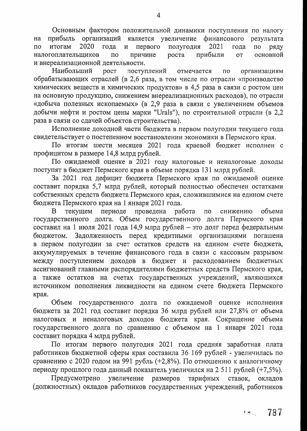Основным фактором положительной динамики поступления по налогу прибыль организаций является увеличение финансового результата на итогам 2020 первого полугодия 2021  $\Pi$ O года  $\mathbf{M}$ года  $\overline{a}$ ряду причине основной налогоплательщиков  $\overline{10}$ роста прибыли **OT** и внереализационной деятельности.

Наибольший **poct** поступлений отмечается  $\overline{10}$ организациям обрабатывающих отраслей (в 2,6 раза, в том числе по отрасли «производство химических веществ и химических продуктов» в 4,5 раза в связи с ростом цен на основную продукцию, снижением внереализационных расходов), по отрасли «добыча полезных ископаемых» (в 2,9 раза в связи с увеличением объемов добычи нефти и ростом цены марки "Urals"), по строительной отрасли (в 2,2 раза в связи со сдачей объектов строительства).

Исполнение доходной части бюджета в первом полугодии текущего года свидетельствует о постепенном восстановлении экономики в Пермского края.

По итогам шести месяцев 2021 года краевой бюджет исполнен с профицитом в размере 14,8 млрд рублей.

По ожидаемой оценке в 2021 году налоговые и неналоговые доходы поступят в бюджет Пермского края в объеме порядка 131 млрд рублей.

За 2021 год дефицит бюджета Пермского края по ожидаемой оценке составит порядка 5,7 млрд рублей, который полностью обеспечен остатками собственных средств бюджета Пермского края, сложившимися на едином счете бюджета Пермского края на 1 января 2021 года.

B текущем периоде проведена работа объема  $\overline{10}$ снижению государственного долга. Объем государственного долга Пермского края составил на 1 июля 2021 года 14,9 млрд рублей - это долг перед федеральным бюджетом. Задолженность перед кредитными организациями погашена в первом полугодии за счет остатков средств на едином счете бюджета, аккумулируемых в течение финансового года в связи с кассовым разрывом между поступлением доходов в бюджет и расходованием бюджетных ассигнований главными распорядителями бюджетных средств Пермского края, а также остатков на счетах государственных учреждений, являющихся источником пополнения ликвидности на едином счете бюджета Пермского края.

Объем государственного долга по ожидаемой оценке исполнения бюджета за 2021 год составит порядка 36 млрд рублей или 27,8% от объема налоговых и неналоговых доходов бюджета края. Сокращение объема государственного долга по сравнению с объемом на 1 января 2021 года составит порядка 4 млрд рублей.

По итогам первого полугодия 2021 года средняя заработная плата работников бюджетной сферы края составила 36 169 рублей - увеличилась по сравнению с 2020 годом на 991 рубль (+2,8%). По отношению к аналогичному периоду прошлого года данный показатель увеличился на 2 511 рублей (+7,5%).

увеличение размеров Предусмотрено тарифных ставок, окладов (должностных) окладов работников государственных учреждений, работников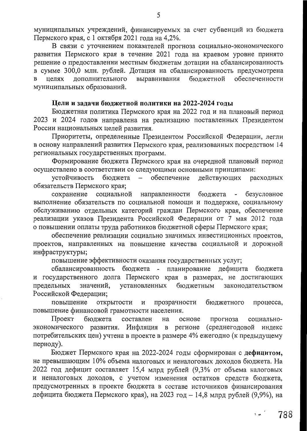муниципальных учреждений, финансируемых за счет субвенций из бюджета Пермского края, с 1 октября 2021 года на 4,2%.

В связи с уточнением показателей прогноза социально-экономического развития Пермского края в течение 2021 года на краевом уровне принято решение о предоставлении местным бюджетам дотации на сбалансированность в сумме 300,0 млн. рублей. Дотация на сбалансированность предусмотрена бюджетной обеспеченности выравнивания дополнительного целях муниципальных образований.

#### Цели и задачи бюджетной политики на 2022-2024 годы

Бюджетная политика Пермского края на 2022 год и на плановый период 2023 и 2024 годов направлена на реализацию поставленных Президентом России национальных целей развития.

Приоритеты, определенные Президентом Российской Федерации, легли в основу направлений развития Пермского края, реализованных посредством 14 региональных государственных программ.

Формирование бюджета Пермского края на очередной плановый период осуществлено в соответствии со следующими основными принципами:

устойчивость бюджета  $\frac{1}{2}$ обеспечение действующих расходных обязательств Пермского края;

сохранение социальной направленности бюджета - безусловное выполнение обязательств по социальной помощи и поддержке, социальному обслуживанию отдельных категорий граждан Пермского края, обеспечение реализации указов Президента Российской Федерации от 7 мая 2012 года о повышении оплаты труда работников бюджетной сферы Пермского края;

обеспечение реализации социально значимых инвестиционных проектов, проектов, направленных на повышение качества социальной и дорожной инфраструктуры;

повышение эффективности оказания государственных услуг;

сбалансированность бюджета - планирование дефицита бюджета и государственного долга Пермского края в размерах, не достигающих значений, установленных бюджетным законодательством предельных Российской Федерации;

открытости повышение прозрачности бюджетного  $\,$  M процесса, повышение финансовой грамотности населения.

Проект бюджета составлен на основе прогноза социальноэкономического развития. Инфляция в регионе (среднегодовой индекс потребительских цен) учтена в проекте в размере 4% ежегодно (к предыдущему периоду).

Бюджет Пермского края на 2022-2024 годы сформирован с дефицитом, не превышающим 10% объема налоговых и неналоговых доходов бюджета. На 2022 год дефицит составляет 15,4 млрд рублей (9,3% от объема налоговых и неналоговых доходов, с учетом изменения остатков средств бюджета, предусмотренных в проекте бюджета в составе источников финансирования дефицита бюджета Пермского края), на 2023 год - 14,8 млрд рублей (9,9%), на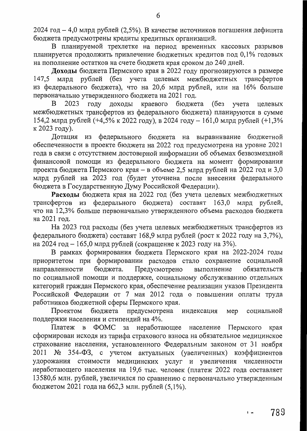2024 год - 4,0 млрд рублей (2,5%). В качестве источников погашения дефицита бюджета предусмотрены кредиты кредитных организаций.

В планируемой трехлетке на период временных кассовых разрывов планируется продолжить привлечение бюджетных кредитов под 0,1% годовых на пополнение остатков на счете бюджета края сроком до 240 дней.

Доходы бюджета Пермского края в 2022 году прогнозируются в размере 147,5 млрд рублей (без учета целевых межбюджетных трансфертов из федерального бюджета), что на 20,6 млрд рублей, или на 16% больше первоначально утвержденного бюджета на 2021 год.

краевого бюджета 2023 году доходы (без учета целевых  $\mathbf{B}$ межбюджетных трансфертов из федерального бюджета) планируются в сумме 154,2 млрд рублей (+4,5% к 2022 году), в 2024 году - 161,0 млрд рублей (+1,3% к 2023 году).

Дотация из федерального бюджета на выравнивание бюджетной обеспеченности в проекте бюджета на 2022 год предусмотрена на уровне 2021 года в связи с отсутствием достоверной информации об объемах безвозмездной финансовой помощи из федерального бюджета на момент формирования проекта бюджета Пермского края - в объеме 2,5 млрд рублей на 2022 год и 3,0 млрд рублей на 2023 год (будет уточнена после внесения федерального бюджета в Государственную Думу Российской Федерации).

Расходы бюджета края на 2022 год (без учета целевых межбюджетных трансфертов из федерального бюджета) составят 163,0 млрд рублей, что на 12,3% больше первоначально утвержденного объема расходов бюджета на 2021 год.

На 2023 год расходы (без учета целевых межбюджетных трансфертов из федерального бюджета) составят 168,9 млрд рублей (рост к 2022 году на 3,7%), на 2024 год - 165,0 млрд рублей (сокращение к 2023 году на 3%).

В рамках формирования бюджета Пермского края на 2022-2024 годы приоритетом при формировании расходов стало сохранение социальной Предусмотрено направленности бюджета. выполнение обязательств по социальной помощи и поддержке, социальному обслуживанию отдельных категорий граждан Пермского края, обеспечение реализации указов Президента Российской Федерации от 7 мая 2012 года о повышении оплаты труда работников бюджетной сферы Пермского края.

Проектом бюджета предусмотрена индексация мер социальной поддержки населения и стипендий на 4%.

Платеж в ФОМС за неработающее население Пермского края сформирован исходя из тарифа страхового взноса на обязательное медицинское страхование населения, установленного Федеральным законом от 31 ноября 2011 № 354-ФЗ, с учетом актуальных (увеличенных) коэффициентов удорожания стоимости медицинских услуг и увеличения численности неработающего населения на 19,6 тыс. человек (платеж 2022 года составляет 13580,6 млн. рублей, увеличился по сравнению с первоначально утвержденным бюджетом 2021 года на 662,3 млн. рублей (5,1%).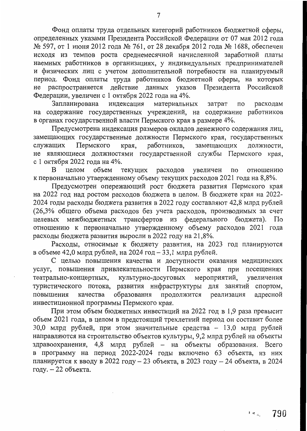Фонд оплаты труда отдельных категорий работников бюджетной сферы, определенных указами Президента Российской Федерации от 07 мая 2012 года № 597, от 1 июня 2012 года № 761, от 28 декабря 2012 года № 1688, обеспечен исходя из темпов роста среднемесячной начисленной заработной платы наемных работников в организациях, у индивидуальных предпринимателей и физических лиц с учетом дополнительной потребности на планируемый период. Фонд оплаты труда работников бюджетной сферы, на которых Президента Российской не распространяется действие данных указов Федерации, увеличен с 1 октября 2022 года на 4%.

Запланирована индексация материальных затрат по расходам на содержание государственных учреждений, на содержание работников в органах государственной власти Пермского края в размере 4%.

Предусмотрена индексация размеров окладов денежного содержания лиц, замещающих государственные должности Пермского края, государственных Пермского работников, замещающих служащих края, должности, не являющиеся должностями государственной службы Пермского края, с 1 октября 2022 года на 4%.

объем расходов увеличен B целом текущих отношению по к первоначально утвержденному объему текущих расходов 2021 года на 8,8%.

Предусмотрен опережающий рост бюджета развития Пермского края на 2022 год над ростом расходов бюджета в целом. В бюджете края на 2022-2024 годы расходы бюджета развития в 2022 году составляют 42,8 млрд рублей (26,3% общего объема расходов без учета расходов, производимых за счет целевых межбюджетных трансфертов из федерального бюджета). По отношению к первоначально утвержденному объему расходов 2021 года расходы бюджета развития выросли в 2022 году на 21,8%.

Расходы, относимые к бюджету развития, на 2023 год планируются в объеме 42,0 млрд рублей, на 2024 год - 33,1 млрд рублей.

С целью повышения качества и доступности оказания медицинских услуг, повышения привлекательности Пермского края при посещениях театрально-концертных, культурно-досуговых мероприятий, увеличения туристического потока, развития инфраструктуры для занятий спортом, образования продолжится реализация адресной повышения качества инвестиционной программы Пермского края.

При этом объем бюджетных инвестиций на 2022 год в 1,9 раза превысит объем 2021 года, в целом в предстоящий трехлетний период он составит более 30,0 млрд рублей, при этом значительные средства - 13,0 млрд рублей направляются на строительство объектов культуры, 9,2 млрд рублей на объекты здравоохранения, 4,8 млрд рублей - на объекты образования. Всего в программу на период 2022-2024 годы включено 63 объекта, из них планируется к вводу в 2022 году - 23 объекта, в 2023 году - 24 объекта, в 2024 году. - 22 объекта.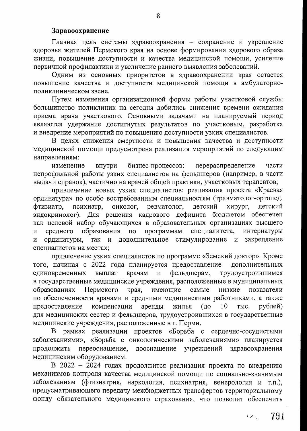#### Здравоохранение

Главная цель системы здравоохранения - сохранение и укрепление здоровья жителей Пермского края на основе формирования здорового образа жизни, повышение доступности и качества медицинской помощи, усиление первичной профилактики и увеличение раннего выявления заболеваний.

Одним из основных приоритетов в здравоохранении края остается повышение качества и доступности медицинской помощи в амбулаторнополиклиническом звене.

Путем изменения организационной формы работы участковой службы большинство поликлиник на сегодня добились снижения времени ожидания приема врача участкового. Основными задачами на планируемый период являются удержание достигнутых результатов по участковым, разработка и внедрение мероприятий по повышению доступности узких специалистов.

В целях снижения смертности и повышения качества и доступности медицинской помощи предусмотрена реализация мероприятий по следующим направлениям:

бизнес-процессов: перераспределение изменение внутри части непрофильной работы узких специалистов на фельдшеров (например, в части выдачи справок), частично на врачей общей практики, участковых терапевтов;

привлечение новых узких специалистов: реализация проекта «Краевая ординатура» по особо востребованным специальностям (травматолог-ортопед, психиатр, онколог, ревматолог, детский фтизиатр, хирург, детский эндокринолог). Для решения кадрового дефицита бюджетом обеспечен как целевой набор обучающихся в образовательных организациях высшего образования по программам специалитета, среднего интернатуры  $\overline{M}$ ординатуры, так и дополнительное стимулирование и закрепление  $\, {\bf N}$ специалистов на местах;

привлечение узких специалистов по программе «Земский доктор». Кроме того, начиная с 2022 года планируется предоставление дополнительных врачам и фельдшерам, единовременных выплат трудоустроившимся в государственные медицинские учреждения, расположенные в муниципальных Пермского края, имеющие образованиях самые низкие показатели по обеспеченности врачами и средними медицинскими работниками, а также компенсации аренды жилья (до  $10$ предоставление TЫC. рублей) для медицинских сестер и фельдшеров, трудоустроившихся в государственные медицинские учреждения, расположенные в г. Перми.

В рамках реализации проектов «Борьба с сердечно-сосудистыми заболеваниями», «Борьба с онкологическими заболеваниями» планируется переоснащение, дооснащение учреждений здравоохранения продолжить медицинским оборудованием.

В 2022 - 2024 годах продолжится реализация проекта по внедрению механизмов контроля качества медицинской помощи по социально-значимым заболеваниям (фтизиатрия, наркология, психиатрия, венерология и т.п.), предусматривающего передачу межбюджетных трансфертов территориальному фонду обязательного медицинского страхования, что позволит обеспечить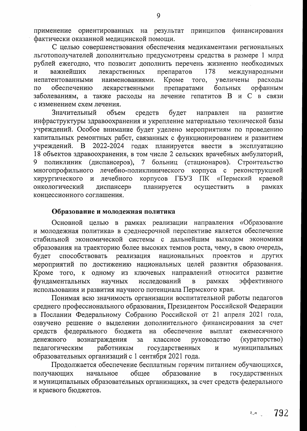применение ориентированных на результат принципов финансирования фактически оказанной медицинской помощи.

С целью совершенствования обеспечения медикаментами региональных льготополучателей дополнительно предусмотрены средства в размере 1 млрд рублей ежегодно, что позволит дополнить перечень жизненно необходимых  $\overline{M}$ важнейших лекарственных препаратов 178 международными непатентованными наименованиями. Кроме того, увеличены расходы  $\overline{10}$ обеспечению лекарственными препаратами больных орфанным заболеваниям, а также расходы на лечение гепатитов В и С в связи с изменением схем лечения.

Значительный объем средств будет направлен развитие на инфраструктуры здравоохранения и укрепление материально технической базы учреждений. Особое внимание будет уделено мероприятиям по проведению капитальных ремонтных работ, связанных с функционированием и развитием учреждений. В 2022-2024 годах планируется ввести в эксплуатацию 18 объектов здравоохранения, в том числе 2 сельских врачебных амбулаторий, 9 поликлиник (диспансеров), 7 больниц (стационаров). Строительство многопрофильного лечебно-поликлинического корпуса с реконструкцией корпусов ГБУЗ ПК «Пермский хирургического и лечебного краевой онкологический планируется диспансер» осуществить рамках  $\overline{B}$ концессионного соглашения.

#### Образование и молодежная политика

Основной целью в рамках реализации направления «Образование и молодежная политика» в среднесрочной перспективе является обеспечение стабильной экономической системы с дальнейшим выходом экономики образования на траекторию более высоких темпов роста, чему, в свою очередь, способствовать реализация будет национальных проектов И ДРУГИХ мероприятий по достижению национальных целей развития образования. Кроме того, к одному из ключевых направлений относится развитие фундаментальных научных исследований эффективного  $\overline{B}$ рамках использования и развития научного потенциала Пермского края.

Понимая всю значимость организации воспитательной работы педагогов среднего профессионального образования, Президентом Российской Федерации в Послании Федеральному Собранию Российской от 21 апреля 2021 года, озвучено решение о выделении дополнительного финансирования за счет средств федерального бюджета обеспечение выплат на ежемесячного денежного вознаграждения классное (кураторство) за руководство работникам муниципальных государственных педагогическим  $\overline{M}$ образовательных организаций с 1 сентября 2021 года.

Продолжается обеспечение бесплатным горячим питанием обучающихся, образование общее государственных получающих начальное  $\mathbf{B}$ и муниципальных образовательных организациях, за счет средств федерального и краевого бюджетов.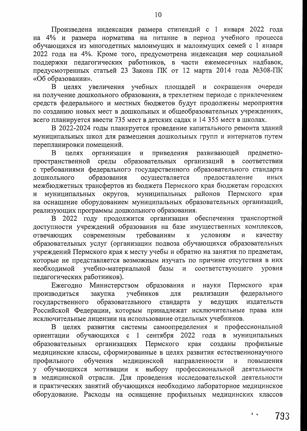Произведена индексация размера стипендий с 1 января 2022 года на 4% и размера норматива на питание в период учебного процесса обучающихся из многодетных малоимущих и малоимущих семей с 1 января 2022 года на 4%. Кроме того, предусмотрена индексация мер социальной поддержки педагогических работников, в части ежемесячных надбавок, предусмотренных статьей 23 Закона ПК от 12 марта 2014 года №308-ПК «Об образовании».

В целях увеличения учебных площадей и сокращения очереди на получение дошкольного образования, в трехлетнем периоде с привлечением средств федерального и местных бюджетов будут продолжены мероприятия по созданию новых мест в дошкольных и общеобразовательных учреждениях, всего планируется ввести 735 мест в детских садах и 14 355 мест в школах.

В 2022-2024 годы планируется проведение капитального ремонта зданий муниципальных школ для размещения дошкольных групп и интернатов путем перепланировки помещений.

B целях организации приведения развивающей  $\mathbf{M}$ предметнопространственной среды образовательных организаций в соответствии с требованиями федерального государственного образовательного стандарта дошкольного образования осуществляется предоставление иных межбюджетных трансфертов из бюджета Пермского края бюджетам городских муниципальных муниципальных округов, районов Пермского края И на оснащение оборудованием муниципальных образовательных организаций, реализующих программы дошкольного образования.

В 2022 году продолжится организация обеспечения транспортной доступности учреждений образования на базе имущественных комплексов, современным требованиям отвечающих  $\mathbf{K}$ условиям  $\overline{M}$ качеству образовательных услуг (организации подвоза обучающихся образовательных учреждений Пермского края к месту учебы и обратно на занятия по предметам, которые не представляется возможным изучать по причине отсутствия в них учебно-материальной соответствующего необходимой базы  $\overline{M}$ уровня педагогических работников).

Министерством образования Ежегодно науки Пермского края  $\mathbf{M}$ учебников федерального производиться закупка реализации ДЛЯ образовательного государственного ведущих издательств стандарта y Российской Федерации, которым принадлежат исключительные права или исключительные лицензии на использование отдельных учебников.

В целях развития системы самоопределения и профессиональной обучающихся с 1 сентября 2022 года в муниципальных ориентации Пермского организациях профильные образовательных края созданы медицинские классы, сформированные в целях развития естественнонаучного медицинской направленности профильного обучения  $\overline{M}$ повышения у обучающихся мотивации выбору профессиональной  $K$ деятельности в медицинской отрасли. Для проведения исследовательской деятельности и практических занятий обучающихся необходимо лабораторное медицинское оборудование. Расходы на оснащение профильных медицинских классов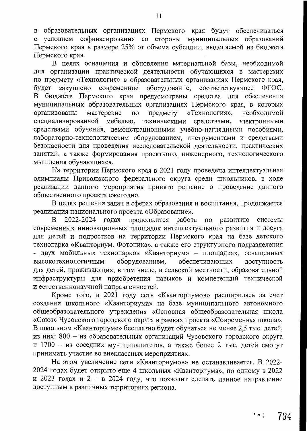в образовательных организациях Пермского края будут обеспечиваться с условием софинасирования со стороны муниципальных образований Пермского края в размере 25% от объема субсидии, выделяемой из бюджета Пермского края.

В целях оснащения и обновления материальной базы, необходимой для организации практической деятельности обучающихся в мастерских по предмету «Технология» в образовательных организациях Пермского края, будет закуплено современное оборудование, соответствующее ФГОС. В бюджете Пермского края предусмотрены средства для обеспечения муниципальных образовательных организациях Пермского края, в которых мастерские предмету «Технология», организованы  $\overline{a}$ необходимой специализированной мебелью, техническими средствами, электронными средствами обучения, демонстрационными учебно-наглядными пособиями, лабораторно-технологическим оборудованием, инструментами и средствами безопасности для проведения исследовательской деятельности, практических занятий, а также формирования проектного, инженерного, технологического мышления обучающихся.

На территории Пермского края в 2021 году проведена интеллектуальная олимпиады Приволжского федерального округа среди школьников, в ходе реализации данного мероприятия принято решение о проведение данного общественного проекта ежегодно.

В целях решения задач в сферах образования и воспитания, продолжается реализация национального проекта «Образование».

2022-2024 годах продолжится работа по B развитию системы современных инновационных площадок интеллектуального развития и досуга для детей и подростков на территории Пермского края на базе детского технопарка «Кванториум. Фотоника», а также его структурного подразделения - двух мобильных технопарков «Кванториум» - площадках, оснащенных оборудованием, обеспечивающих высокотехнологичным доступность для детей, проживающих, в том числе, в сельской местности, образовательной инфраструктуры для приобретения навыков и компетенций технической и естественнонаучной направленностей.

Кроме того, в 2021 году сеть «Кванториумов» расширилась за счет создания школьного «Кванториума» на базе муниципального автономного общеобразовательного учреждения «Основная общеобразовательная школа «Союз» Чусовского городского округа в рамках проекта «Современная школа». В школьном «Кванториуме» бесплатно будет обучаться не менее 2,5 тыс. детей, из них: 800 - из образовательных организаций Чусовского городского округа и 1700 - из соседних муниципалитетов, а также более 2 тыс. детей смогут принимать участие во внеклассных мероприятиях.

На этом увеличение сети «Кванториумов» не останавливается. В 2022-2024 годах будет открыто еще 4 школьных «Кванториума», по одному в 2022 и 2023 годах и 2 - в 2024 году, что позволит сделать данное направление доступным в различных территориях региона.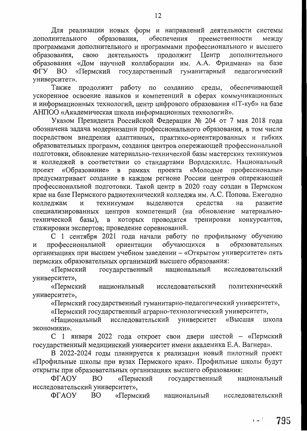Для реализации новых форм и направлений деятельности системы обеспечения образования, дополнительного преемственности между программами дополнительного и программами профессионального и высшего образования, деятельность продолжит Центр дополнительного свою образования «Дом научной коллаборации им. А.А. Фридмана» на базе государственный педагогический ФГУ **BO** «Пермский гуманитарный университет».

продолжит работу по созданию среды, обеспечивающей Также ускоренное освоение навыков и компетенций в сферах коммуникационных и информационных технологий, центр цифрового образования «IT-куб» на базе АНПОО «Академическая школа информационных технологий».

Указом Президента Российской Федерации № 204 от 7 мая 2018 года обозначена задача модернизации профессионального образования, в том числе посредством внедрения адаптивных, практико-ориентированных и гибких образовательных программ, создания центров опережающей профессиональной подготовки, обновление материально-технической базы мастерских техникумов и колледжей в соответствии со стандартами Ворлдскиллс. Национальный «Молодые профессионалы» «Образование» в рамках проекта проект предусматривает создание в каждом регионе России центров опережающей профессиональной подготовки. Такой центр в 2020 году создан в Пермском крае на базе Пермского радиотехнический колледжа им. А.С. Попова. Ежегодно техникумам выделяются колледжам средства И на развитие специализированных центров компетенций (на обновление материальнокоторых проводятся тренировки конкурсантов, технической базы), B стажировки экспертов; проведение соревнований.

С 1 сентября 2021 года начали работу по профильному обучению обучающихся образовательных профессиональной ориентации  $\, {\bf B}$ И организациях при высшем учебном заведении - «Открытом университете» пять пермских образовательных организаций высшего образования:

«Пермский государственный национальный исследовательский университет»,

«Пермский национальный исследовательский политехнический университет»,

«Пермский государственный гуманитарно-педагогический университет»,

«Пермский государственный аграрно-технологический университет»,

исследовательский университет «Национальный «Высшая школа экономики».

С 1 января 2022 года откроет свои двери шестой - «Пермский государственный медицинский университет имени академика Е.А. Вагнера».

В 2022-2024 годы планируется к реализации новый пилотный проект «Профильные школы при вузах Пермского края». Профильные школы будут открыты при образовательных организациях высшего образования:

ФГАОУ **BO** «Пермский государственный национальный исследовательский университет»,

ФГАОУ BO. «Пермский национальный исследовательский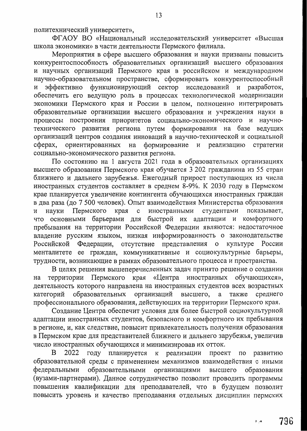политехнический университет»,

ФГАОУ ВО «Национальный исследовательский университет «Высшая школа экономики» в части деятельности Пермского филиала.

Мероприятия в сфере высшего образования и науки призваны повысить конкурентоспособность образовательных организаций высшего образования и научных организаций Пермского края в российском и международном научно-образовательном пространстве, сформировать конкурентоспособный и эффективно функционирующий сектор исследований и разработок, обеспечить его ведущую роль в процессах технологической модернизации экономики Пермского края и России в целом, полноценно интегрировать образовательные организации высшего образования и учреждения науки в процессы построения приоритетов социально-экономического и научнотехнического развития региона путем формирования на базе ведущих организаций центров создания инноваций в научно-технической и социальной ориентированных на формирование и реализацию стратегии сферах, социально-экономического развития региона.

По состоянию на 1 августа 2021 года в образовательных организациях высшего образования Пермского края обучается 3 202 гражданина из 55 стран ближнего и дальнего зарубежья. Ежегодный прирост поступающих из числа иностранных студентов составляет в среднем 8-9%. К 2030 году в Пермском крае планируется увеличение контингента обучающихся иностранных граждан в два раза (до 7 500 человек). Опыт взаимодействия Министерства образования Пермского края с иностранными студентами показывает, науки И что основными барьерами для быстрой их адаптации и комфортного пребывания на территории Российской Федерации являются: недостаточное владение русским языком, низкая информированность о законодательстве отсутствие представления Российской Федерации, о культуре России менталитете ее граждан, коммуникативные и социокультурные барьеры, трудности, возникающие в рамках образовательного процесса и пространства.

В целях решения вышеперечисленных задач принято решение о создании территории Пермского края «Центра иностранных обучающихся», на деятельность которого направлена на иностранных студентов всех возрастных образовательных организаций высшего, а также среднего категорий профессионального образования, действующих на территории Пермского края.

Создание Центра обеспечит условия для более быстрой социокультурной адаптации иностранных студентов, безопасного и комфортного их пребывания в регионе, и, как следствие, повысит привлекательность получения образования в Пермском крае для представителей ближнего и дальнего зарубежья, увеличив число иностранных обучающихся и минимизировав их отток.

2022 году планируется B к реализации проект по развитию образовательной среды с применением механизмов взаимодействия с иными образовательными организациями федеральными высшего образования (вузами-партнерами). Данное сотрудничество позволит проводить программы повышения квалификации для преподавателей, что в будущем позволит повысить уровень и качество преподавания отдельных дисциплин пермских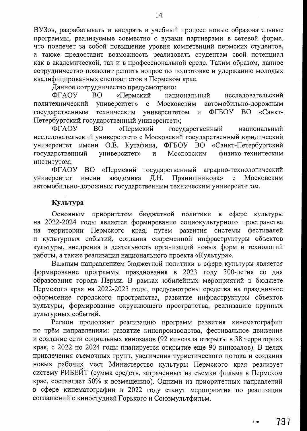ВУЗов, разрабатывать и внедрять в учебный процесс новые образовательные программы, реализуемые совместно с вузами партнерами в сетевой форме, что повлечет за собой повышение уровня компетенций пермских студентов, а также предоставит возможность реализовать студентам свой потенциал как в академической, так и в профессиональной среде. Таким образом, данное сотрудничество позволит решить вопрос по подготовке и удержанию молодых квалифицированных специалистов в Пермском крае.

Данное сотрудничество предусмотрено:

ФГАОУ **BO** «Пермский национальный исследовательский университет» политехнический  $\mathbf{c}$ Московским автомобильно-дорожным техническим ФГБОУ ВО «Санктуниверситетом государственным  $\mathbf{M}$ Петербургский государственный университет»;

«Пермский государственный ФГАОУ **BO** национальный исследовательский университет» с Московский государственный юридический университет имени О.Е. Кутафина, ФГБОУ ВО «Санкт-Петербургский государственный физико-техническим университет» Московским  $\overline{M}$ институтом;

ΦΓΑΟΥ BO – «Пермский государственный аграрно-технологический Прянишникова» университет имени академика Д.Н.  $\mathbf{c}$ Московским автомобильно-дорожным государственным техническим университетом.

## Культура

приоритетом бюджетной политики в сфере культуры Основным на 2022-2024 годы является формирование социокультурного пространства территории Пермского края, путем развития системы фестивалей на и культурных событий, создания современной инфраструктуры объектов культуры, внедрения в деятельность организаций новых форм и технологий работы, а также реализация национального проекта «Культура».

Важным направлением бюджетной политики в сфере культуры является формирование программы празднования в 2023 году 300-летия со дня образования города Перми. В рамках юбилейных мероприятий в бюджете Пермского края на 2022-2023 годы, предусмотрены средства на праздничное оформление городского пространства, развитие инфраструктуры объектов культуры, формирование окружающего пространства, реализацию крупных культурных событий.

Регион продолжит реализацию программ развития кинематографии по трём направлениям: развитие кинопроизводства, фестивальное движение и создание сети социальных кинозалов (92 кинозала открыты в 38 территориях края, с 2022 по 2024 годы планируется открытие еще 90 кинозалов). В целях привлечения съемочных групп, увеличения туристического потока и создания новых рабочих мест Министерство культуры Пермского края реализует систему РИБЕЙТ (сумма средств, затраченных на съемки фильма в Пермском крае, составляет 50% к возмещению). Одними из приоритетных направлений в сфере кинематографии в 2022 году станут мероприятия по реализации соглашений с киностудией Горького и Союзмультфильм.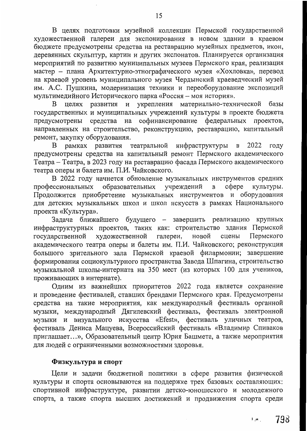В целях подготовки музейной коллекции Пермской государственной художественной галереи для экспонирования в новом здании в краевом бюджете предусмотрены средства на реставрацию музейных предметов, икон, деревянных скульптур, картин и других экспонатов. Планируется организация мероприятий по развитию муниципальных музеев Пермского края, реализация мастер - плана Архитектурно-этнографического музея «Хохловка», перевод на краевой уровень муниципального музея Чердынский краеведческий музей им. А.С. Пушкина, модернизация техники и переоборудование экспозиций мультимедийного Исторического парка «Россия - моя история».

и укрепления материально-технической базы целях развития  $\mathbf{B}$ государственных и муниципальных учреждений культуры в проекте бюджета предусмотрены средства на софинансирование федеральных проектов, направленных на строительство, реконструкцию, реставрацию, капитальный ремонт, закупку оборудования.

театральной инфраструктуры рамках развития 2022 году B.  $\mathbf{B}$ предусмотрены средства на капитальный ремонт Пермского академического Театра – Театра, в 2023 году на реставрацию фасада Пермского академического театра оперы и балета им. П.И. Чайковского.

В 2022 году начнется обновление музыкальных инструментов средних образовательных учреждений cotepe культуры. профессиональных B Продолжится приобретение музыкальных инструментов и оборудования для детских музыкальных школ и школ искусств в рамках Национального проекта «Культура».

Задача ближайшего будущего - завершить реализацию крупных инфраструктурных проектов, таких как: строительство здания Пермской Пермского государственной художественной галереи, новой сцены академического театра оперы и балеты им. П.И. Чайковского; реконструкция большого зрительного зала Пермской краевой филармонии; завершение формирования социокультурного пространства Завода Шпагина, строительство музыкальной школы-интерната на 350 мест (из которых 100 для учеников, проживающих в интернате).

Одним из важнейших приоритетов 2022 года является сохранение и проведение фестивалей, ставших брендами Пермского края. Предусмотрены средства на такие мероприятия, как международный фестиваль органной музыки, международный Дягилевский фестиваль, фестиваль электронной музыки и визуального искусства «Efest», фестиваль уличных театров, фестиваль Дениса Мацуева, Всероссийский фестиваль «Владимир Спиваков приглашает...», Образовательный центр Юрия Башмета, а также мероприятия для людей с ограниченными возможностями здоровья.

## Физкультура и спорт

Цели и задачи бюджетной политики в сфере развития физической культуры и спорта основываются на поддержке трех базовых составляющих: спортивной инфраструктуре, развитии детско-юношеского и молодежного спорта, а также спорта высших достижений и продвижения спорта среди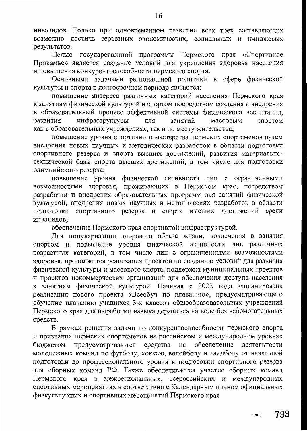инвалидов. Только при одновременном развитии всех трех составляющих возможно достичь серьезных экономических, социальных и имиджевых результатов.

Целью государственной программы Пермского края «Спортивное Прикамье» является создание условий для укрепления здоровья населения и повышения конкурентоспособности пермского спорта.

Основными задачами региональной политики в сфере физической культуры и спорта в долгосрочном периоде являются:

повышение интереса различных категорий населения Пермского края к занятиям физической культурой и спортом посредством создания и внедрения в образовательный процесс эффективной системы физического воспитания, инфраструктуры развития ДЛЯ занятий массовым спортом как в образовательных учреждениях, так и по месту жительства;

повышение уровня спортивного мастерства пермских спортсменов путем внедрения новых научных и методических разработок в области подготовки спортивного резерва и спорта высших достижений, развития материальнотехнической базы спорта высших достижений, в том числе для подготовки олимпийского резерва;

повышение уровня физической активности лиц с ограниченными возможностями здоровья, проживающих в Пермском крае, посредством разработки и внедрения образовательных программ для занятий физической культурой, внедрения новых научных и методических разработок в области подготовки спортивного резерва и спорта высших достижений среди инвалидов;

обеспечение Пермского края спортивной инфраструктурой.

Для популяризации здорового образа жизни, вовлечения в занятия спортом и повышение уровня физической активности лиц различных возрастных категорий, в том числе лиц с ограниченными возможностями здоровья, продолжится реализация проектов по созданию условий для развития физической культуры и массового спорта, поддержка муниципальных проектов и проектов некоммерческих организаций для обеспечения доступа населения к занятиям физической культурой. Начиная с 2022 года запланирована реализация нового проекта «Всеобуч по плаванию», предусматривающего обучение плаванию учащихся 3-х классов общеобразовательных учреждений Пермского края для выработки навыка держаться на воде без вспомогательных средств.

В рамках решения задачи по конкурентоспособности пермского спорта и признания пермских спортсменов на российском и международном уровнях предусматриваются средства обеспечение деятельности бюджетом на молодежных команд по футболу, хоккею, волейболу и гандболу от начальной подготовки до профессионального уровня и подготовки спортивного резерва для сборных команд РФ. Также обеспечивается участие сборных команд Пермского края в межрегиональных, всероссийских и международных спортивных мероприятиях в соответствии с Календарным планом официальных физкультурных и спортивных мероприятий Пермского края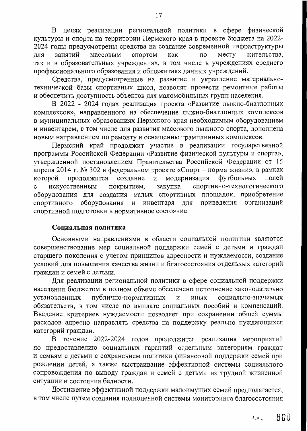В целях реализации региональной политики в сфере физической культуры и спорта на территории Пермского края в проекте бюджета на 2022-2024 годы предусмотрены средства на создание современной инфраструктуры жительства, занятий массовым спортом как  $\overline{a}$ месту ДЛЯ так и в образовательных учреждениях, в том числе в учреждениях среднего профессионального образования и общежитиях данных учреждений.

Средства, предусмотренные на развитие и укрепление материальнотехнической базы спортивных школ, позволят провести ремонтные работы и обеспечить доступность объектов для маломобильных групп населения.

В 2022 - 2024 годах реализация проекта «Развитие лыжно-биатлонных комплексов», направленного на обеспечение лыжно-биатлонных комплексов в муниципальных образованиях Пермского края необходимым оборудованием и инвентарем, в том числе для развития массового лыжного спорта, дополнена новым направлением по ремонту и оснащению трамплинных комплексов.

Пермский край продолжит участие в реализации государственной программы Российской Федерации «Развитие физической культуры и спорта», утвержденной постановлением Правительства Российской Федерации от 15 апреля 2014 г. № 302 и федеральном проекте «Спорт - норма жизни», в рамках и модернизация футбольных продолжится создание полей которой спортивно-технологического искусственным покрытием, закупка  $\mathbf c$ оборудования для создания малых спортивных площадок, приобретение спортивного оборудования и инвентаря ДЛЯ приведения организаций спортивной подготовки в нормативное состояние.

#### Социальная политика

Основными направлениями в области социальной политики являются совершенствование мер социальной поддержки семей с детьми и граждан старшего поколения с учетом принципов адресности и нуждаемости, создание условий для повышения качества жизни и благосостояния отдельных категорий граждан и семей с детьми.

Для реализации региональной политики в сфере социальной поддержки населения бюджетом в полном объеме обеспечено исполнение законодательно публично-нормативных установленных социально-значимых И иных обязательств, в том числе по выплате социальных пособий и компенсаций. Введение критериев нуждаемости позволяет при сохранении общей суммы расходов адресно направлять средства на поддержку реально нуждающихся категорий граждан.

В течение 2022-2024 годов продолжится реализация мероприятий по предоставлению социальных гарантий отдельным категориям граждан и семьям с детьми с сохранением политики финансовой поддержки семей при рождении детей, а также выстраивание эффективной системы социального сопровождения по выводу граждан и семей с детьми из трудной жизненной ситуации и состояния бедности.

Достижение эффективной поддержки малоимущих семей предполагается, в том числе путем создания полноценной системы мониторинга благосостояния

800  $2.48<sub>1</sub>$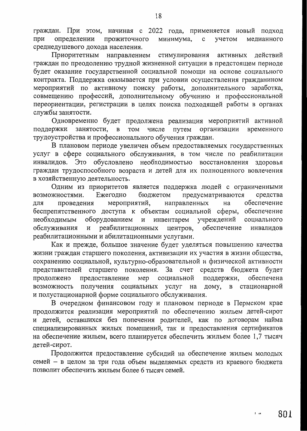граждан. При этом, начиная с 2022 года, применяется новый подход при определении прожиточного минимума,  $\mathbf{c}$ учетом медианного среднедушевого дохода населения.

Приоритетным направлением стимулирования активных действий граждан по преодолению трудной жизненной ситуации в предстоящем периоде будет оказание государственной социальной помощи на основе социального контракта. Поддержка оказывается при условии осуществления гражданином мероприятий по активному поиску работы, дополнительного заработка, совмещению профессий, дополнительному обучению и профессиональной переориентации, регистрации в целях поиска подходящей работы в органах службы занятости.

Одновременно будет продолжена реализация мероприятий активной занятости, TOM путем организации временного поддержки  $\, {\bf B}$ числе трудоустройства и профессионального обучения граждан.

В плановом периоде увеличен объем предоставляемых государственных услуг в сфере социального обслуживания, в том числе по реабилитации Это обусловлено необходимостью восстановления здоровья инвалидов. граждан трудоспособного возраста и детей для их полноценного вовлечения в хозяйственную деятельность.

Одним из приоритетов является поддержка людей с ограниченными Ежегодно бюджетом предусматриваются средства возможностями. мероприятий, направленных на обеспечение для проведения беспрепятственного доступа к объектам социальной сферы, обеспечение учреждений оборудованием инвентарем социального необходимым И обеспечение обслуживания  $\, {\bf N}$ реабилитационных центров, инвалидов реабилитационными и абилитационными услугами.

Как и прежде, большое значение будет уделяться повышению качества жизни граждан старшего поколения, активизации их участия в жизни общества, сохранению социальной, культурно-образовательной и физической активности представителей старшего поколения. За счет средств бюджета будет поддержки, обеспечена предоставление социальной продолжено мер возможность получения социальных услуг на дому,  $\mathbf{B}$ стационарной и полустационарной форме социального обслуживания.

В очередном финансовом году и плановом периоде в Пермском крае продолжится реализация мероприятий по обеспечению жильем детей-сирот и детей, оставшихся без попечения родителей, как по договорам найма специализированных жилых помещений, так и предоставления сертификатов на обеспечение жильем, всего планируется обеспечить жильем более 1,7 тысяч детей-сирот.

Продолжится предоставление субсидий на обеспечение жильем молодых семей - в целом за три года объем выделяемых средств из краевого бюджета позволит обеспечить жильем более 6 тысяч семей.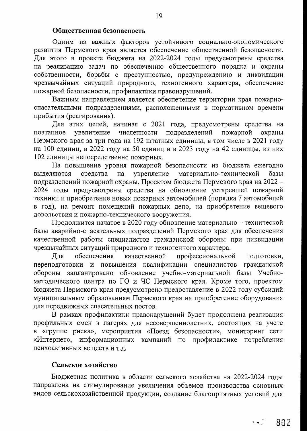#### Общественная безопасность

Одним из важных факторов устойчивого социально-экономического развития Пермского края является обеспечение общественной безопасности. Для этого в проекте бюджета на 2022-2024 годы предусмотрены средства на реализацию задач по обеспечению общественного порядка и охраны собственности, борьбы с преступностью, предупреждению и ликвидации чрезвычайных ситуаций природного, техногенного характера, обеспечение пожарной безопасности, профилактики правонарушений.

Важным направлением является обеспечение территории края пожарноспасательными подразделениями, расположенными в нормативном времени прибытия (реагирования).

Для этих целей, начиная с 2021 года, предусмотрены средства на увеличение численности подразделений пожарной поэтапное охраны Пермского края за три года на 192 штатных единицы, в том числе в 2021 году на 100 единиц, в 2022 году на 50 единиц и в 2023 году на 42 единицы, из них 102 единицы непосредственно пожарных.

На повышение уровня пожарной безопасности из бюджета ежегодно укрепление материально-технической средства базы выделяются на подразделений пожарной охраны. Проектом бюджета Пермского края на 2022 -2024 годы предусмотрены средства на обновление устаревшей пожарной техники и приобретение новых пожарных автомобилей (порядка 7 автомобилей в год), на ремонт помещений пожарных депо, на приобретение вещевого довольствия и пожарно-технического вооружения.

Продолжится начатое в 2020 году обновление материально - технической базы аварийно-спасательных подразделений Пермского края для обеспечения качественной работы специалистов гражданской обороны при ликвидации чрезвычайных ситуаций природного и техногенного характера.

обеспечения качественной профессиональной Для подготовки, переподготовки и повышения квалификации специалистов гражданской обороны запланировано обновление учебно-материальной базы Учебнометодического центра по ГО и ЧС Пермского края. Кроме того, проектом бюджета Пермского края предусмотрено предоставление в 2022 году субсидий муниципальным образованиям Пермского края на приобретение оборудования для передвижных спасательных постов.

В рамках профилактики правонарушений будет продолжена реализация профильных смен в лагерях для несовершеннолетних, состоящих на учете в «группе риска», мероприятия «Поезд безопасности», мониторинг сети «Интернет», информационных кампаний по профилактике потребления психоактивных веществ и т.д.

## Сельское хозяйство

Бюджетная политика в области сельского хозяйства на 2022-2024 годы направлена на стимулирование увеличения объемов производства основных видов сельскохозяйственной продукции, создание благоприятных условий для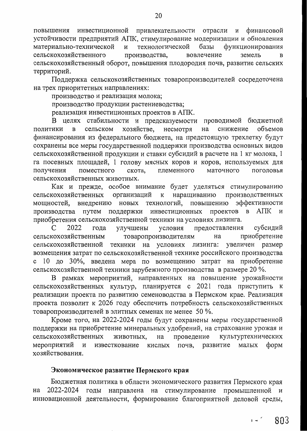инвестиционной привлекательности отрасли и финансовой повышения устойчивости предприятий АПК, стимулирование модернизации и обновления материально-технической И технологической базы функционирования сельскохозяйственного производства, вовлечение земель B сельскохозяйственный оборот, повышения плодородия почв, развитие сельских территорий.

Поддержка сельскохозяйственных товаропроизводителей сосредоточена на трех приоритетных направлениях:

производство и реализация молока;

производство продукции растениеводства;

реализация инвестиционных проектов в АПК.

В целях стабильности и предсказуемости проводимой бюджетной хозяйстве, несмотря объемов сельском снижение политики B на финансирования из федерального бюджета, на предстоящую трехлетку будут сохранены все меры государственной поддержки производства основных видов сельскохозяйственной продукции и ставки субсидий в расчете на 1 кг молока, 1 га посевных площадей, 1 голову мясных коров и коров, используемых для племенного маточного поголовья получения поместного скота, сельскохозяйственных животных.

Как и прежде, особое внимание будет уделяться стимулированию организаций сельскохозяйственных  $\kappa$ наращиванию производственных мощностей, внедрению новых технологий, повышению эффективности проектов производства путем поддержки инвестиционных  $\mathbf{B}$ АПК и приобретения сельскохозяйственной техники на условиях лизинга.

C 2022 года улучшены условия предоставления субсидий приобретение сельскохозяйственным товаропроизводителям на техники на условиях увеличен размер сельскохозяйственной лизинга: возмещения затрат по сельскохозяйственной технике российского производства с 10 до 30%, введена мера по возмещению затрат на приобретение сельскохозяйственной техники зарубежного производства в размере 20 %.

В рамках мероприятий, направленных на повышение урожайности сельскохозяйственных культур, планируется с 2021 года приступить к реализации проекта по развитию семеноводства в Пермском крае. Реализация проекта позволит к 2026 году обеспечить потребность сельскохозяйственных товаропроизводителей в элитных семенах не менее 50 %.

Кроме того, на 2022-2024 годы будут сохранены меры государственной поддержки на приобретение минеральных удобрений, на страхование урожая и сельскохозяйственных проведение культуртехнических животных, на мероприятий известкование почв, развитие малых форм  $\, {\bf N}$ кислых хозяйствования.

## Экономическое развитие Пермского края

Бюджетная политика в области экономического развития Пермского края 2022-2024 годы направлена на стимулирование промышленной и на инновационной деятельности, формирование благоприятной деловой среды,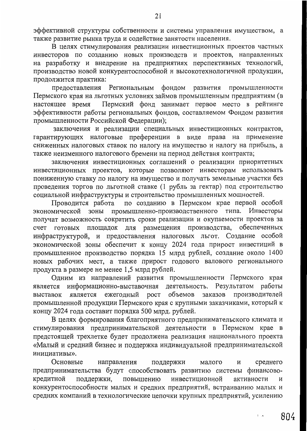эффективной структуры собственности и системы управления имуществом, а также развитие рынка труда и содействие занятости населения.

В целях стимулирования реализации инвестиционных проектов частных инвесторов по созданию новых производств и проектов, направленных на разработку и внедрение на предприятиях перспективных технологий, производство новой конкурентоспособной и высокотехнологичной продукции, продолжится практика:

предоставления Региональным фондом развития промышленности Пермского края на льготных условиях займов промышленным предприятиям (в Пермский фонд занимает первое место в рейтинге настоящее время эффективности работы региональных фондов, составляемом Фондом развития промышленности Российской Федерации);

заключения и реализации специальных инвестиционных контрактов, гарантирующих налоговые преференции в виде права на применение сниженных налоговых ставок по налогу на имущество и налогу на прибыль, а также неизменного налогового бремени на период действия контракта;

заключения инвестиционных соглашений о реализации приоритетных инвестиционных проектов, которые позволяют инвесторам использовать пониженную ставку по налогу на имущество и получать земельные участки без проведения торгов по льготной ставке (1 рубль за гектар) под строительство социальной инфраструктуры и строительство промышленных мощностей.

Проводится работа по созданию в Пермском крае первой особой экономической зоны промышленно-производственного типа. Инвесторы получат возможность сократить сроки реализации и окупаемости проектов за готовых площадок для размещения производства, обеспеченных счет инфраструктурой, и предоставления налоговых льгот. Создание особой экономической зоны обеспечит к концу 2024 года прирост инвестиций в промышленное производство порядка 15 млрд рублей, создание около 1400 новых рабочих мест, а также прирост годового валового регионального продукта в размере не менее 1,5 млрд рублей.

Одним из направлений развития промышленности Пермского края является информационно-выставочная деятельность. Результатом работы выставок является ежегодный рост объемов заказов производителей промышленной продукции Пермского края с крупными заказчиками, который к концу 2024 года составит порядка 500 млрд. рублей.

В целях формирования благоприятного предпринимательского климата и стимулирования предпринимательской деятельности в Пермском крае в предстоящей трехлетке будет продолжена реализация национального проекта «Малый и средний бизнес и поддержка индивидуальной предпринимательской инициативы».

Основные поддержки направления малого среднего И предпринимательства будут способствовать развитию системы финансовокредитной поддержки, повышению инвестиционной активности И конкурентоспособности малых и средних предприятий, встраиванию малых и средних компаний в технологические цепочки крупных предприятий, усилению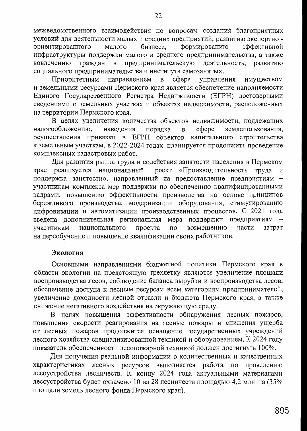межведомственного взаимодействия по вопросам создания благоприятных условий для деятельности малых и средних предприятий, развитию экспортно ориентированного малого бизнеса, формированию эффективной инфраструктуры поддержки малого и среднего предпринимательства, а также вовлечению граждан в предпринимательскую деятельность, развитию социального предпринимательства и института самозанятых.

Приоритетным направлением  $c$  depe  $\, {\bf B} \,$ управления имуществом и земельными ресурсами Пермского края является обеспечение наполняемости Единого Государственного Регистра Недвижимости (ЕГРН) достоверными сведениями о земельных участках и объектах недвижимости, расположенных на территории Пермского края.

В целях увеличения количества объектов недвижимости, подлежащих налогообложению, наведения сфере землепользования, порядка B осуществления привязки в ЕГРН объектов капитального строительства к земельным участкам, в 2022-2024 годах планируется продолжить проведение комплексных кадастровых работ.

Для развития рынка труда и содействия занятости населения в Пермском крае реализуется национальный проект «Производительность труда и поддержка занятости», направленный на предоставление предприятиям участникам комплекса мер поддержки по обеспечению квалифицированными кадрами, повышению эффективности производства на основе принципов бережливого производства, модернизации оборудования, стимулированию цифровизации и автоматизации производственных процессов. С 2021 года введена дополнительная региональная мера поддержки предприятиям - $\overline{a}$ возмещению части затрат участникам национального проекта на переобучение и повышение квалификации своих работников.

#### Экология

Основными направлениями бюджетной политики Пермского края в области экологии на предстоящую трехлетку являются увеличение площади воспроизводства лесов, соблюдение баланса вырубки и воспроизводства лесов, обеспечение доступа к лесным ресурсам всем категориям предпринимателей, увеличение доходности лесной отрасли и бюджета Пермского края, а также снижение негативного воздействия на окружающую среду.

В целях повышения эффективности обнаружения лесных пожаров, повышения скорости реагирования на лесные пожары и снижения ущерба от лесных пожаров продолжится оснащение государственных учреждений лесного хозяйства специализированной техникой и оборудованием. К 2024 году показатель обеспеченности лесопожарной техникой должен достигнуть 100%.

Для получения реальной информации о количественных и качественных характеристиках лесных ресурсов выполняется работа по проведению лесоустройства лесничеств. К концу 2024 года актуальными материалами лесоустройства будет охвачено 10 из 28 лесничеств площадью 4,2 млн. га (35% площади земель лесного фонда Пермского края).

 $\mathbf{1}$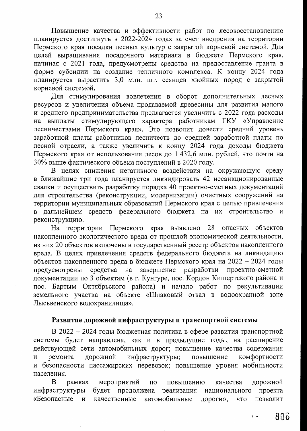Повышение качества и эффективности работ по лесовосстановлению планируется достигнуть в 2022-2024 годах за счет внедрения на территории Пермского края посадки лесных культур с закрытой корневой системой. Для целей выращивания посадочного материала в бюджете Пермского края, начиная с 2021 года, предусмотрены средства на предоставление гранта в форме субсидии на создание тепличного комплекса. К концу 2024 года планируется вырастить 3,0 млн. шт. сеянцев хвойных пород с закрытой корневой системой.

Для стимулирования вовлечения в оборот дополнительных лесных ресурсов и увеличения объема продаваемой древесины для развития малого и среднего предпринимательства предлагается увеличить с 2022 года расходы на выплаты стимулирующего характера работникам ГКУ «Управление лесничествами Пермского края». Это позволит довести средний уровень заработной платы работников лесничеств до средней заработной платы по лесной отрасли, а также увеличить к концу 2024 года доходы бюджета Пермского края от использования лесов до 1 432,6 млн. рублей, что почти на 30% выше фактического объема поступлений в 2020 году.

В целях снижения негативного воздействия на окружающую среду в ближайшие три года планируется ликвидировать 42 несанкционированные свалки и осуществить разработку порядка 40 проектно-сметных документаций для строительства (реконструкции, модернизации) очистных сооружений на территории муниципальных образований Пермского края с целью привлечения в дальнейшем средств федерального бюджета на их строительство и реконструкцию.

На территории Пермского края выявлено 28 опасных объектов накопленного экологического вреда от прошлой экономической деятельности, из них 20 объектов включены в государственный реестр объектов накопленного вреда. В целях привлечения средств федерального бюджета на ликвидацию объектов накопленного вреда в бюджете Пермского края на 2022 - 2024 годы средства на завершение разработки проектно-сметной предусмотрены документации по 3 объектам (в г. Кунгуре, пос. Кордон Кишертского района и пос. Бартым Октябрьского района) и начало работ по рекультивации земельного участка на объекте «Шлаковый отвал в водоохранной зоне Лысьвенского водохранилища».

## Развитие дорожной инфраструктуры и транспортной системы

В 2022 - 2024 годы бюджетная политика в сфере развития транспортной системы будет направлена, как и в предыдущие годы, на расширение действующей сети автомобильных дорог; повышение качества содержания дорожной инфраструктуры; комфортности ремонта повышение  $\overline{M}$ и безопасности пассажирских перевозок; повышение уровня мобильности населения.

B рамках мероприятий дорожной  $\Pi{\rm O}$ повышению качества инфраструктуры будет продолжена реализация проекта национального «Безопасные качественные автомобильные позволит  $\overline{M}$ дороги», что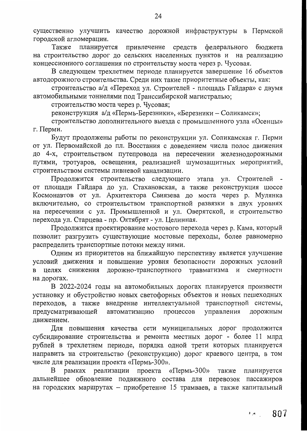существенно улучшить качество дорожной инфраструктуры в Пермской городской агломерации.

планируется Также привлечение средств федерального бюджета на строительство дорог до сельских населенных пунктов и на реализацию концессионного соглашения по строительству моста через р. Чусовая.

В следующем трехлетнем периоде планируется завершение 16 объектов автодорожного строительства. Среди них такие приоритетные объекты, как:

строительство а/д «Переход ул. Строителей - площадь Гайдара» с двумя автомобильными тоннелями под Транссибирской магистралью;

строительство моста через р. Чусовая;

реконструкция а/д «Пермь-Березники», «Березники - Соликамск»;

строительство дополнительного выезда с промышленного узла «Осенцы» г. Перми.

Будут продолжены работы по реконструкции ул. Соликамская г. Перми от ул. Первомайской до пл. Восстания с доведением числа полос движения до 4-х, строительством путепровода на пересечении железнодорожными путями, тротуаров, освещения, реализацией шумозащитных мероприятий, строительством системы ливневой канализации.

Продолжится строительство следующего этапа ул. Строителей от площади Гайдара до ул. Стахановская, а также реконструкция шоссе Космонавтов от ул. Архитектора Свиязева до моста через р. Мулянка включительно, со строительством транспортной развязки в двух уровнях на пересечении с ул. Промышленной и ул. Оверятской, и строительство перехода ул. Старцева - пр. Октябрят - ул. Целинная.

Продолжится проектирование мостового перехода через р. Кама, который позволит разгрузить существующие мостовые переходы, более равномерно распределить транспортные потоки между ними.

Одним из приоритетов на ближайшую перспективу является улучшение условий движения и повышение уровня безопасности дорожных условий в целях снижения дорожно-транспортного травматизма и смертности на дорогах.

В 2022-2024 годы на автомобильных дорогах планируется произвести установку и обустройство новых светофорных объектов и новых пешеходных переходов, а также внедрение интеллектуальной транспортной системы, предусматривающей управления автоматизацию процессов дорожным движением.

Для повышения качества сети муниципальных дорог продолжится субсидирование строительства и ремонта местных дорог - более 11 млрд рублей в трехлетнем периоде, порядка одной трети которых планируется направить на строительство (реконструкцию) дорог краевого центра, в том числе для реализации проекта «Пермь-300».

рамках реализации проекта  $\langle \sqrt{2} \text{N} \cdot \text{N} \cdot \text{N} \cdot \text{N} \cdot \text{N} \cdot \text{N} \cdot \text{N} \cdot \text{N} \cdot \text{N} \cdot \text{N} \cdot \text{N} \cdot \text{N} \cdot \text{N} \cdot \text{N} \cdot \text{N} \cdot \text{N} \cdot \text{N} \cdot \text{N} \cdot \text{N} \cdot \text{N} \cdot \text{N} \cdot \text{N} \cdot \text{N} \cdot \text{N} \cdot \text{N} \cdot \text{N} \cdot \text{N} \cdot \text{N} \cdot \text{N} \cdot \text{N} \cdot \text$ B планируется дальнейшее обновление подвижного состава для перевозок пассажиров на городских маршрутах - приобретение 15 трамваев, а также капитальный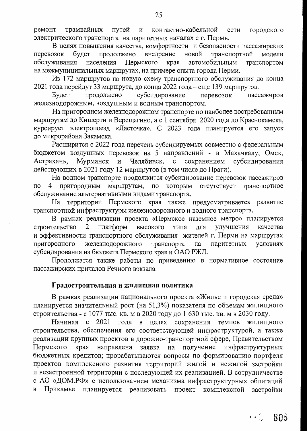контактно-кабельной ремонт трамвайных путей и сети городского электрического транспорта на паритетных началах с г. Пермь.

В целях повышения качества, комфортности и безопасности пассажирских внедрение новой транспортной модели перевозок будет продолжено Пермского автомобильным обслуживания населения края транспортом на межмуниципальных маршрутах, на примере опыта города Перми.

Из 172 маршрутов на новую схему транспортного обслуживания до конца 2021 года перейдут 33 маршрута, до конца 2022 года - еще 139 маршрутов.

субсидирование продолжено Будет перевозок пассажиров железнодорожным, воздушным и водным транспортом.

На пригородном железнодорожном транспорте по наиболее востребованным маршрутам до Кишерти и Верещагино, а с 1 сентября 2020 года до Краснокамска, курсирует электропоезд «Ласточка». С 2023 года планируется его запуск до микрорайона Закамска.

Расширится с 2022 года перечень субсидируемых совместно с федеральным бюджетом воздушных перевозок на 5 направлений - в Махачкалу, Омск, Мурманск Челябинск, сохранением субсидирования Астрахань,  $\mathbf H$  $\mathbf{c}$ действующих в 2021 году 12 маршрутов (в том числе до Праги).

На водном транспорте продолжится субсидирование перевозок пассажиров пригородным маршрутам,  $\Pi$ O которым отсутствует транспортное  $\overline{4}$ по обслуживание альтернативными видами транспорта.

На территории Пермского края также предусматривается развитие транспортной инфраструктуры железнодорожного и водного транспорта.

В рамках реализации проекта «Пермское наземное метро» планируется платформ высокого строительство для улучшения  $\overline{2}$ типа качества и эффективности транспортного обслуживания жителей г. Перми на маршрутах железнодорожного паритетных пригородного транспорта условиях на субсидирования из бюджета Пермского края и ОАО РЖД.

Продолжатся также работы по приведению в нормативное состояние пассажирских причалов Речного вокзала.

## Градостроительная и жилищная политика

В рамках реализации национального проекта «Жилье и городская среда» планируется значительный рост (на 51,3%) показателя по объемам жилищного строительства - с 1077 тыс. кв. м в 2020 году до 1 630 тыс. кв. м в 2030 году.

Начиная с 2021 года в целях сохранения темпов жилищного строительства, обеспечения его соответствующей инфраструктурой, а также реализации крупных проектов в дорожно-транспортной сфере, Правительством получение инфраструктурных Пермского края направлена заявка на бюджетных кредитов; прорабатываются вопросы по формированию портфеля проектов комплексного развития территорий жилой и нежилой застройки и незастроенной территории с последующей их реализацией. В сотрудничестве с АО «ДОМ.РФ» с использованием механизма инфраструктурных облигаций Прикамье планируется реализовать проект комплексной застройки В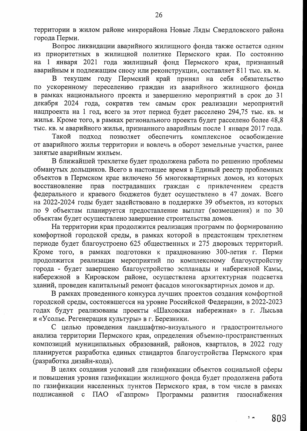территории в жилом районе микрорайона Новые Ляды Свердловского района города Перми.

Вопрос ликвидации аварийного жилищного фонда также остается одним из приоритетных в жилищной политике Пермского края. По состоянию на 1 января 2021 года жилищный фонд Пермского края, признанный аварийным и подлежащим сносу или реконструкции, составляет 811 тыс. кв. м.

В текущем году Пермский край принял на себя обязательство по ускоренному переселению граждан из аварийного жилищного фонда в рамках национального проекта и завершению мероприятий в срок до 31 декабря 2024 года, сократив тем самым срок реализации мероприятий нацпроекта на 1 год, всего за этот период будет расселено 294,75 тыс. кв. м жилья. Кроме того, в рамках регионального проекта будет расселено более 48,8 тыс. кв. м аварийного жилья, признанного аварийным после 1 января 2017 года.

Такой позволяет обеспечить подход комплексное освобождение от аварийного жилья территории и вовлечь в оборот земельные участки, ранее занятые аварийным жильем.

В ближайшей трехлетке будет продолжена работа по решению проблемы обманутых дольщиков. Всего в настоящее время в Единый реестр проблемных объектов в Пермском крае включено 56 многоквартирных домов, из которых восстановление пострадавших граждан с привлечением прав средств федерального и краевого бюджетов будет осуществлено в 47 домах. Всего на 2022-2024 годы будет задействовано в поддержке 39 объектов, из которых по 9 объектам планируется предоставление выплат (возмещения) и по 30 объектам будет осуществлено завершение строительства домов.

На территории края продолжится реализация программ по формированию комфортной городской среды, в рамках которой в предстоящем трехлетнем периоде будет благоустроено 625 общественных и 275 дворовых территорий. Кроме того, в рамках подготовки к празднованию 300-летия г. Перми продолжится реализация мероприятий по комплексному благоустройству города - будет завершено благоустройство эспланады и набережной Камы, набережной в Кировском районе, осуществлена архитектурная подсветка зданий, проведен капитальный ремонт фасадов многоквартирных домов и др.

В рамках проведенного конкурса лучших проектов создания комфортной городской среды, состоявшегося на уровне Российской Федерации, в 2022-2023 годах будут реализованы проекты «Шаховская набережная» в г. Лысьва и «Усолье. Регенерация культуры» в г. Березники.

С целью проведения ландшафтно-визуального и градостроительного анализа территории Пермского края, определения объемно-пространственных композиций муниципальных образований, районов, кварталов, в 2022 году планируется разработка единых стандартов благоустройства Пермского края (разработка дизайн-кода).

В целях создания условий для газификации объектов социальной сферы и повышения уровня газификации жилищного фонда будет продолжена работа по газификации населенных пунктов Пермского края, в том числе в рамках подписанной  $\Pi$ AO «Газпром» Программы развития газоснабжения  $\mathbf{C}$ 

 $3 - n$ 809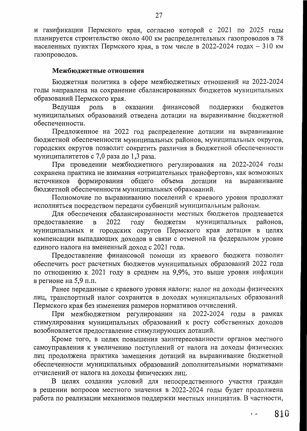и газификации Пермского края, согласно которой с 2021 по 2025 годы планируется строительство около 400 км распределительных газопроводов в 78 населенных пунктах Пермского края, в том числе в 2022-2024 годах - 310 км газопроводов.

### Межбюджетные отношения

Бюджетная политика в сфере межбюджетных отношений на 2022-2024 годы направлена на сохранение сбалансированных бюджетов муниципальных образований Пермского края.

Ведущая роль  $\mathbf{B}$ оказании финансовой поддержки бюджетов муниципальных образований отведена дотации на выравнивание бюджетной обеспеченности.

Предложенное на 2022 год распределение дотации на выравнивание бюджетной обеспеченности муниципальных районов, муниципальных округов, городских округов позволит сократить различия в бюджетной обеспеченности муниципалитетов с 7,0 раза до 1,3 раза.

При проведении межбюджетного регулирования на 2022-2024 годы сохранена практика не взимания «отрицательных трансфертов», как возможных формирования общего объема дотации на источников выравнивание бюджетной обеспеченности муниципальных образований.

Полномочие по выравниванию поселений с краевого уровня продолжат исполняться посредством передачи субвенций муниципальным районам.

Для обеспечения сбалансированности местных бюджетов продлевается предоставление 2022 году бюджетам муниципальных районов,  $\, {\bf B} \,$ муниципальных и городских округов Пермского края дотации в целях компенсации выпадающих доходов в связи с отменой на федеральном уровне единого налога на вмененный доход с 2021 года.

Предоставление финансовой помощи из краевого бюджета позволит обеспечить рост расчетных бюджетов муниципальных образований 2022 года по отношению к 2021 году в среднем на 9,9%, это выше уровня инфляции в регионе на 5,9 п.п.

Ранее переданные с краевого уровня налоги: налог на доходы физических лиц, транспортный налог сохранятся в доходах муниципальных образований Пермского края без изменения размеров нормативов отчислений.

При межбюджетном регулировании на 2022-2024 годы в рамках стимулирования муниципальных образований к росту собственных доходов возобновляется предоставление стимулирующих дотаций.

Кроме того, в целях повышения заинтересованности органов местного самоуправления к увеличению поступлений от налога на доходы физических лиц продолжена практика замещения дотаций на выравнивание бюджетной обеспеченности муниципальных образований дополнительными нормативами отчислений от налога на доходы физических лиц.

В целях создания условий для непосредственного участия граждан в решении вопросов местного значения в 2022-2024 годы будет продолжена работа по реализации механизмов поддержки местных инициатив. В частности,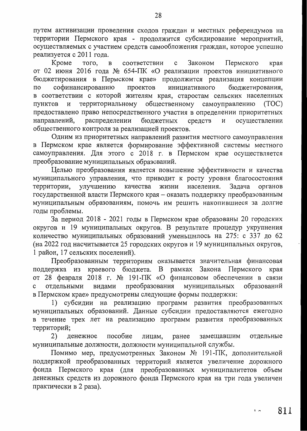путем активизации проведения сходов граждан и местных референдумов на территории Пермского края - продолжится субсидирование мероприятий, осуществляемых с участием средств самообложения граждан, которое успешно реализуется с 2011 года.

Законом края Кроме того, соответствии  $\mathbf{c}$ Пермского  $\mathbf{B}$ от 02 июня 2016 года № 654-ПК «О реализации проектов инициативного бюджетирования в Пермском крае» продолжится реализация концепции софинансированию проектов инициативного бюджетирования, по в соответствии с которой жителям края, старостам сельских населенных территориальному общественному самоуправлению И (TOC) ПУНКТОВ предоставлено право непосредственного участия в определении приоритетных распределении бюджетных средств направлений, И осуществлении общественного контроля за реализацией проектов.

Одним из приоритетных направлений развития местного самоуправления в Пермском крае является формирование эффективной системы местного самоуправления. Для этого с 2018 г. в Пермском крае осуществляется преобразование муниципальных образований.

Целью преобразования является повышение эффективности и качества муниципального управления, что приводит к росту уровня благосостояния улучшению населения. Задача территории, качества жизни органов государственной власти Пермского края – оказать поддержку преобразованным муниципальным образованиям, помочь им решить накопившиеся за долгие годы проблемы.

За период 2018 - 2021 годы в Пермском крае образованы 20 городских округов и 19 муниципальных округов. В результате процедур укрупнения количество муниципальных образований уменьшилось на 275: с 337 до 62 (на 2022 год насчитывается 25 городских округов и 19 муниципальных округов, 1 район, 17 сельских поселений).

Преобразованным территориям оказывается значительная финансовая рамках Закона Пермского края поддержка из краевого бюджета. В от 28 февраля 2018 г. № 191-ПК «О финансовом обеспечении в связи муниципальных образований отдельными видами преобразования в Пермском крае» предусмотрены следующие формы поддержки:

1) субсидии на реализацию программ развития преобразованных муниципальных образований. Данные субсидии предоставляются ежегодно в течение трех лет на реализацию программ развития преобразованных территорий;

ранее замещавшим 2) пособие лицам, отдельные денежное муниципальные должности, должности муниципальной службы.

Помимо мер, предусмотренных Законом № 191-ПК, дополнительной поддержкой преобразованных территорий является увеличение дорожного фонда Пермского края (для преобразованных муниципалитетов объем денежных средств из дорожного фонда Пермского края на три года увеличен практически в 2 раза).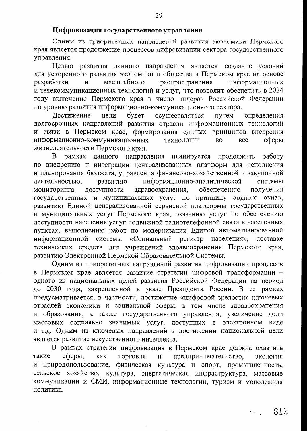#### Цифровизация государственного управления

Одним из приоритетных направлений развития экономики Пермского края является продолжение процессов цифровизации сектора государственного управления.

развития данного направления является создание условий Целью для ускоренного развития экономики и общества в Пермском крае на основе масштабного распространения информационных разработки И и телекоммуникационных технологий и услуг, что позволит обеспечить в 2024 году включение Пермского края в число лидеров Российской Федерации по уровню развития информационно-коммуникационного сектора.

осуществляться Достижение цели будет путем определения долгосрочных направлений развития отрасли информационных технологий и связи в Пермском крае, формирования единых принципов внедрения информационно-коммуникационных сферы технологий **BO BCC** жизнедеятельности Пермского края.

рамках данного направления планируется продолжить работу B по внедрению и интеграции централизованных платформ для исполнения и планирования бюджета, управления финансово-хозяйственной и закупочной деятельностью, развитию информационно-аналитической системы доступности обеспечению здравоохранения, получения мониторинга государственных и муниципальных услуг по принципу «одного окна», развитию Единой централизованной сервисной платформы государственных и муниципальных услуг Пермского края, оказанию услуг по обеспечению доступности населения услуг подвижной радиотелефонной связи в населенных пунктах, выполнению работ по модернизации Единой автоматизированной «Социальный регистр населения», информационной системы поставке технических средств для учреждений здравоохранения Пермского края, развитию Электронной Пермской Образовательной Системы.

Одним из приоритетных направлений развития цифровизации процессов в Пермском крае является развитие стратегии цифровой трансформации одного из национальных целей развития Российской Федерации на период до 2030 года, закрепленной в указе Президента России. В ее рамках предусматривается, в частности, достижение «цифровой зрелости» ключевых отраслей экономики и социальной сферы, в том числе здравоохранения и образования, а также государственного управления, увеличение доли массовых социально значимых услуг, доступных в электронном виде и т.д. Одним из ключевых направлений в достижении национальной цели является развитие искусственного интеллекта.

В рамках стратегии цифровизация в Пермском крае должна охватить такие сферы, как торговля И предпринимательство, экология и природопользование, физическая культура и спорт, промышленность, сельское хозяйство, культура, энергетическая инфраструктура, массовые коммуникации и СМИ, информационные технологии, туризм и молодежная политика.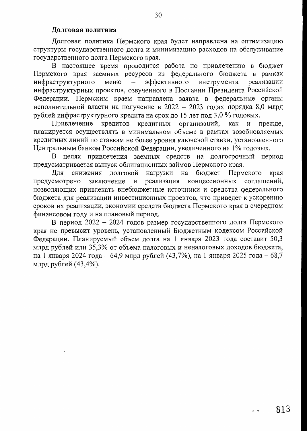### Долговая политика

Долговая политика Пермского края будет направлена на оптимизацию структуры государственного долга и минимизацию расходов на обслуживание государственного долга Пермского края.

В настоящее время проводится работа по привлечению в бюджет Пермского края заемных ресурсов из федерального бюджета в рамках эффективного инструмента реализации инфраструктурного меню инфраструктурных проектов, озвученного в Послании Президента Российской Федерации. Пермским краем направлена заявка в федеральные органы исполнительной власти на получение в 2022 - 2023 годах порядка 8,0 млрд рублей инфраструктурного кредита на срок до 15 лет под 3,0 % годовых.

кредитов кредитных организаций, Привлечение как  $\mathbf{M}$ прежде, планируется осуществлять в минимальном объеме в рамках возобновляемых кредитных линий по ставкам не более уровня ключевой ставки, установленного Центральным банком Российской Федерации, увеличенного на 1% годовых.

В целях привлечения заемных средств на долгосрочный период предусматривается выпуск облигационных займов Пермского края.

бюджет Пермского долговой нагрузки на Для снижения края концессионных предусмотрено заключение и реализация соглашений, позволяющих привлекать внебюджетные источники и средства федерального бюджета для реализации инвестиционных проектов, что приведет к ускорению сроков их реализации, экономии средств бюджета Пермского края в очередном финансовом году и на плановый период.

В период 2022 - 2024 годов размер государственного долга Пермского края не превысит уровень, установленный Бюджетным кодексом Российской Федерации. Планируемый объем долга на 1 января 2023 года составит 50,3 млрд рублей или 35,3% от объема налоговых и неналоговых доходов бюджета, на 1 января 2024 года - 64,9 млрд рублей (43,7%), на 1 января 2025 года - 68,7 млрд рублей (43,4%).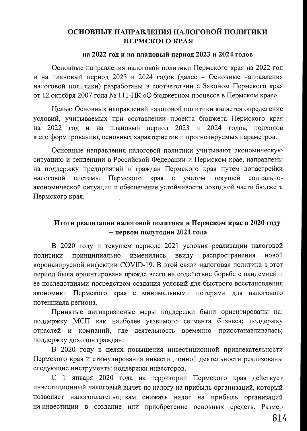# ОСНОВНЫЕ НАПРАВЛЕНИЯ НАЛОГОВОЙ ПОЛИТИКИ ПЕРМСКОГО КРАЯ

### на 2022 год и на плановый период 2023 и 2024 годов

Основные направления налоговой политики Пермского края на 2022 год и на плановый период 2023 и 2024 годов (далее - Основные направления налоговой политики) разработаны в соответствии с Законом Пермского края от 12 октября 2007 года № 111-ПК «О бюджетном процессе в Пермском крае».

Целью Основных направлений налоговой политики является определение условий, учитываемых при составлении проекта бюджета Пермского края 2022 год и на плановый период 2023 и 2024 годов, подходов на к его формированию, основных характеристик и прогнозируемых параметров.

Основные направления налоговой политики учитывают экономическую ситуацию и тенденции в Российской Федерации и Пермском крае, направлены на поддержку предприятий и граждан Пермского края путем донастройки налоговой системы Пермского края учетом текущей социально- $\mathbf{C}$ экономической ситуации и обеспечение устойчивости доходной части бюджета Пермского края.

## Итоги реализации налоговой политики в Пермском крае в 2020 году - первом полугодии 2021 года

В 2020 году и текущем периоде 2021 условия реализации налоговой политики принципиально изменились ввиду распространения новой коронавирусной инфекции COVID-19. В этой связи налоговая политика в этот период была ориентирована прежде всего на содействие борьбе с пандемией и ее последствиями посредством создания условий для быстрого восстановления экономики Пермского края с минимальными потерями для налогового потенциала региона.

Принятые антикризисные меры поддержки были ориентированы на: поддержку МСП как наиболее уязвимого сегмента бизнеса; поддержку отраслей и компаний, где деятельность временно приостанавливалась; поддержку доходов граждан.

В 2020 году в целях повышения инвестиционной привлекательности Пермского края и стимулирования инвестиционной деятельности реализованы следующие инструменты поддержки инвесторов.

С 1 января 2020 года на территории Пермского края действует инвестиционный налоговый вычет по налогу на прибыль организаций, который позволяет налогоплательщикам снижать налог на прибыль организаций на инвестиции в создание или приобретение основных средств. Размер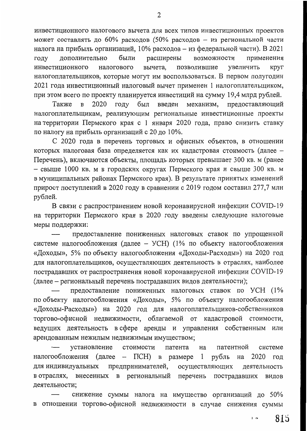инвестиционного налогового вычета для всех типов инвестиционных проектов может составлять до 60% расходов (50% расходов - из региональной части налога на прибыль организаций, 10% расходов – из федеральной части). В 2021 применения дополнительно были расширены возможности году позволившие инвестиционного налогового вычета, увеличить круг налогоплательщиков, которые могут им воспользоваться. В первом полугодии 2021 года инвестиционный налоговый вычет применен 1 налогоплательщиком, при этом всего по проекту планируется инвестиций на сумму 19,4 млрд рублей.

2020 был механизм, предоставляющий Также  $\mathbf B$ ГОДУ введен налогоплательщикам, реализующим региональные инвестиционные проекты на территории Пермского края с 1 января 2020 года, право снизить ставку по налогу на прибыль организаций с 20 до 10%.

С 2020 года в перечень торговых и офисных объектов, в отношении которых налоговая база определяется как их кадастровая стоимость (далее -Перечень), включаются объекты, площадь которых превышает 300 кв. м (ранее - свыше 1000 кв. м в городских округах Пермского края и свыше 300 кв. м в муниципальных районах Пермского края). В результате принятых изменений прирост поступлений в 2020 году в сравнении с 2019 годом составил 277,7 млн рублей.

В связи с распространением новой коронавирусной инфекции COVID-19 на территории Пермского края в 2020 году введены следующие налоговые меры поддержки:

предоставление пониженных налоговых ставок по упрощенной системе налогообложения (далее - УСН) (1% по объекту налогообложения «Доходы», 5% по объекту налогообложения «Доходы-Расходы») на 2020 год для налогоплательщиков, осуществляющих деятельность в отраслях, наиболее пострадавших от распространения новой коронавирусной инфекции COVID-19 (далее – региональный перечень пострадавших видов деятельности);

предоставление пониженных налоговых ставок по УСН (1% по объекту налогообложения «Доходы», 5% по объекту налогообложения «Доходы-Расходы») на 2020 год для налогоплательщиков-собственников торгово-офисной недвижимости, облагаемой от кадастровой стоимости, ведущих деятельность в сфере аренды и управления собственным или арендованным нежилым недвижимым имуществом;

установление стоимости патента на патентной системе налогообложения (далее –  $\Pi$ CH $)$  в размере 1 рубль 2020 год на предпринимателей, для индивидуальных осуществляющих деятельность в отраслях, внесенных в региональный перечень пострадавших ВИДОВ деятельности;

снижение суммы налога на имущество организаций до 50% в отношении торгово-офисной недвижимости в случае снижения суммы

2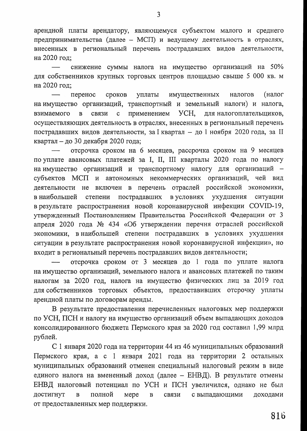арендной платы арендатору, являющемуся субъектом малого и среднего предпринимательства (далее - МСП) и ведущему деятельность в отраслях, внесенных в региональный перечень пострадавших видов деятельности, на 2020 год;

снижение суммы налога на имущество организаций на 50% для собственников крупных торговых центров площадью свыше 5 000 кв. м на 2020 год;

(налог перенос сроков уплаты имущественных налогов на имущество организаций, транспортный и земельный налоги) и налога,  $\overline{B}$ связи  $\mathbf{c}$ применением YCH, для налогоплательщиков, взимаемого осуществляющих деятельность в отраслях, внесенных в региональный перечень пострадавших видов деятельности, за I квартал - до 1 ноября 2020 года, за II квартал - до 30 декабря 2020 года;

отсрочка сроком на 6 месяцев, рассрочка сроком на 9 месяцев по уплате авансовых платежей за I, II, III кварталы 2020 года по налогу на имущество организаций и транспортному налогу для организаций субъектов МСП и автономных некоммерческих организаций, чей вид деятельности не включен в перечень отраслей российской экономики, в наибольшей степени пострадавших в условиях ухудшения ситуации в результате распространения новой коронавирусной инфекции COVID-19, утвержденный Постановлением Правительства Российской Федерации от 3 апреля 2020 года № 434 «Об утверждении перечня отраслей российской экономики, внаибольшей степени пострадавших в условиях ухудшения ситуации в результате распространения новой коронавирусной инфекции», но входит в региональный перечень пострадавших видов деятельности;

отсрочка сроком от 3 месяцев до 1 года по уплате налога на имущество организаций, земельного налога и авансовых платежей по таким налогам за 2020 год, налога на имущество физических лиц за 2019 год для собственников торговых объектов, предоставивших отсрочку уплаты арендной платы по договорам аренды.

В результате предоставления перечисленных налоговых мер поддержки по УСН, ПСН и налогу на имущество организаций объем выпадающих доходов консолидированного бюджета Пермского края за 2020 год составил 1,99 млрд рублей.

С 1 января 2020 года на территории 44 из 46 муниципальных образований Пермского края, а с 1 января 2021 года на территории 2 остальных муниципальных образований отменен специальный налоговый режим в виде единого налога на вмененный доход (далее - ЕНВД). В результате отмены ЕНВД налоговый потенциал по УСН и ПСН увеличился, однако не был достигнут полной  $\, {\bf B}$ мере  $\, {\bf B}$ связи доходами с выпадающими от предоставленных мер поддержки.

3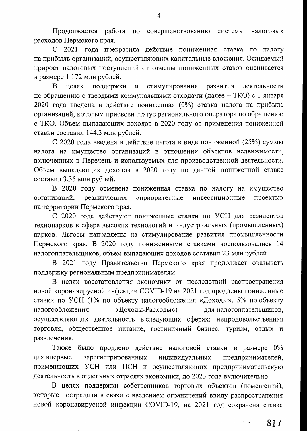Продолжается работа по совершенствованию системы налоговых расходов Пермского края.

С 2021 года прекратила действие пониженная ставка по налогу на прибыль организаций, осуществляющих капитальные вложения. Ожидаемый прирост налоговых поступлений от отмены пониженных ставок оценивается в размере 1 172 млн рублей.

 $\mathbf{B}$ целях поддержки  $\mathbf{M}$ стимулирования развития деятельности по обращению с твердыми коммунальными отходами (далее - ТКО) с 1 января 2020 года введена в действие пониженная (0%) ставка налога на прибыль организаций, которым присвоен статус регионального оператора по обращению с ТКО. Объем выпадающих доходов в 2020 году от применения пониженной ставки составил 144,3 млн рублей.

С 2020 года введена в действие льгота в виде пониженной (25%) суммы налога на имущество организаций в отношении объектов недвижимости, включенных в Перечень и используемых для производственной деятельности. Объем выпадающих доходов в 2020 году по данной пониженной ставке составил 3,35 млн рублей.

В 2020 году отменена пониженная ставка по налогу на имущество реализующих «приоритетные проекты» организаций, инвестиционные на территории Пермского края.

С 2020 года действуют пониженные ставки по УСН для резидентов технопарков в сфере высоких технологий и индустриальных (промышленных) парков. Льготы направлены на стимулирование развития промышленности Пермского края. В 2020 году пониженными ставками воспользовались 14 налогоплательщиков, объем выпадающих доходов составил 23 млн рублей.

В 2021 году Правительство Пермского края продолжает оказывать поддержку региональным предпринимателям.

В целях восстановления экономики от последствий распространения новой коронавирусной инфекции COVID-19 на 2021 год продлены пониженные ставки по УСН (1% по объекту налогообложения «Доходы», 5% по объекту налогообложения «Доходы-Расходы») для налогоплательщиков, осуществляющих деятельность в следующих сферах: непродовольственная торговля, общественное питание, гостиничный бизнес, туризм, отдых и развлечения.

Также было продлено действие налоговой ставки в размере 0% для впервые зарегистрированных индивидуальных предпринимателей, применяющих УСН или ПСН и осуществляющих предпринимательскую деятельность в отдельных отраслях экономики, до 2023 года включительно.

В целях поддержки собственников торговых объектов (помещений), которые пострадали в связи с введением ограничений ввиду распространения новой коронавирусной инфекции COVID-19, на 2021 год сохранена ставка

 $\overline{4}$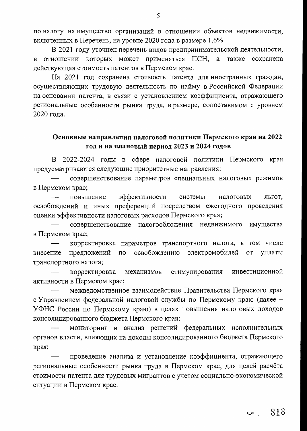по налогу на имущество организаций в отношении объектов недвижимости, включенных в Перечень, на уровне 2020 года в размере 1,6%.

В 2021 году уточнен перечень видов предпринимательской деятельности, в отношении которых может применяться ПСН, а также сохранена действующая стоимость патентов в Пермском крае.

На 2021 год сохранена стоимость патента для иностранных граждан, осуществляющих трудовую деятельность по найму в Российской Федерации на основании патента, в связи с установлением коэффициента, отражающего региональные особенности рынка труда, в размере, сопоставимом с уровнем 2020 года.

## Основные направления налоговой политики Пермского края на 2022 год и на плановый период 2023 и 2024 годов

В 2022-2024 годы в сфере налоговой политики Пермского края предусматриваются следующие приоритетные направления:

совершенствование параметров специальных налоговых режимов в Пермском крае;

эффективности повышение системы налоговых льгот, освобождений и иных преференций посредством ежегодного проведения оценки эффективности налоговых расходов Пермского края;

совершенствование налогообложения недвижимого имущества в Пермском крае;

корректировка параметров транспортного налога, в том числе освобождению электромобилей от уплаты внесение предложений по транспортного налога;

стимулирования инвестиционной корректировка механизмов активности в Пермском крае;

межведомственное взаимодействие Правительства Пермского края с Управлением федеральной налоговой службы по Пермскому краю (далее -УФНС России по Пермскому краю) в целях повышения налоговых доходов консолидированного бюджета Пермского края;

мониторинг и анализ решений федеральных исполнительных органов власти, влияющих на доходы консолидированного бюджета Пермского края;

проведение анализа и установление коэффициента, отражающего региональные особенности рынка труда в Пермском крае, для целей расчёта стоимости патента для трудовых мигрантов с учетом социально-экономической ситуации в Пермском крае.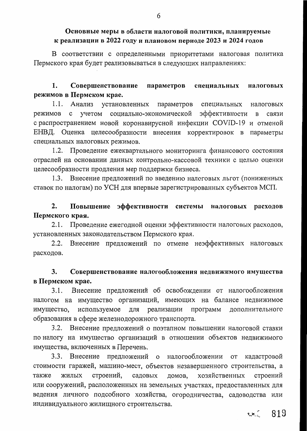## Основные меры в области налоговой политики, планируемые к реализации в 2022 году и плановом периоде 2023 и 2024 годов

В соответствии с определенными приоритетами налоговая политика Пермского края будет реализовываться в следующих направлениях:

#### 1. Совершенствование параметров специальных налоговых режимов в Пермском крае.

1.1. Анализ установленных параметров специальных налоговых режимов с учетом социально-экономической эффективности  $\mathbf{B}$ СВЯЗИ с распространением новой коронавирусной инфекции COVID-19 и отменой ЕНВД. Оценка целесообразности внесения корректировок в параметры специальных налоговых режимов.

1.2. Проведение ежеквартального мониторинга финансового состояния отраслей на основании данных контрольно-кассовой техники с целью оценки целесообразности продления мер поддержки бизнеса.

1.3. Внесение предложений по введению налоговых льгот (пониженных ставок по налогам) по УСН для впервые зарегистрированных субъектов МСП.

#### 2. Повышение эффективности системы налоговых расходов Пермского края.

2.1. Проведение ежегодной оценки эффективности налоговых расходов, установленных законодательством Пермского края.

 $2.2.$ Внесение предложений по отмене неэффективных налоговых расходов.

#### Совершенствование налогообложения недвижимого имущества 3. в Пермском крае.

3.1. Внесение предложений об освобождении от налогообложения налогом на имущество организаций, имеющих на балансе недвижимое имущество, используемое для реализации программ дополнительного образования в сфере железнодорожного транспорта.

3.2. Внесение предложений о поэтапном повышении налоговой ставки по налогу на имущество организаций в отношении объектов недвижимого имущества, включенных в Перечень.

3.3. Внесение предложений о налогообложении от кадастровой стоимости гаражей, машино-мест, объектов незавершенного строительства, а строений, хозяйственных также ЖИЛЫХ садовых домов, строений или сооружений, расположенных на земельных участках, предоставленных для ведения личного подсобного хозяйства, огородничества, садоводства или индивидуального жилищного строительства.

 $2.8$   $\sim$  819